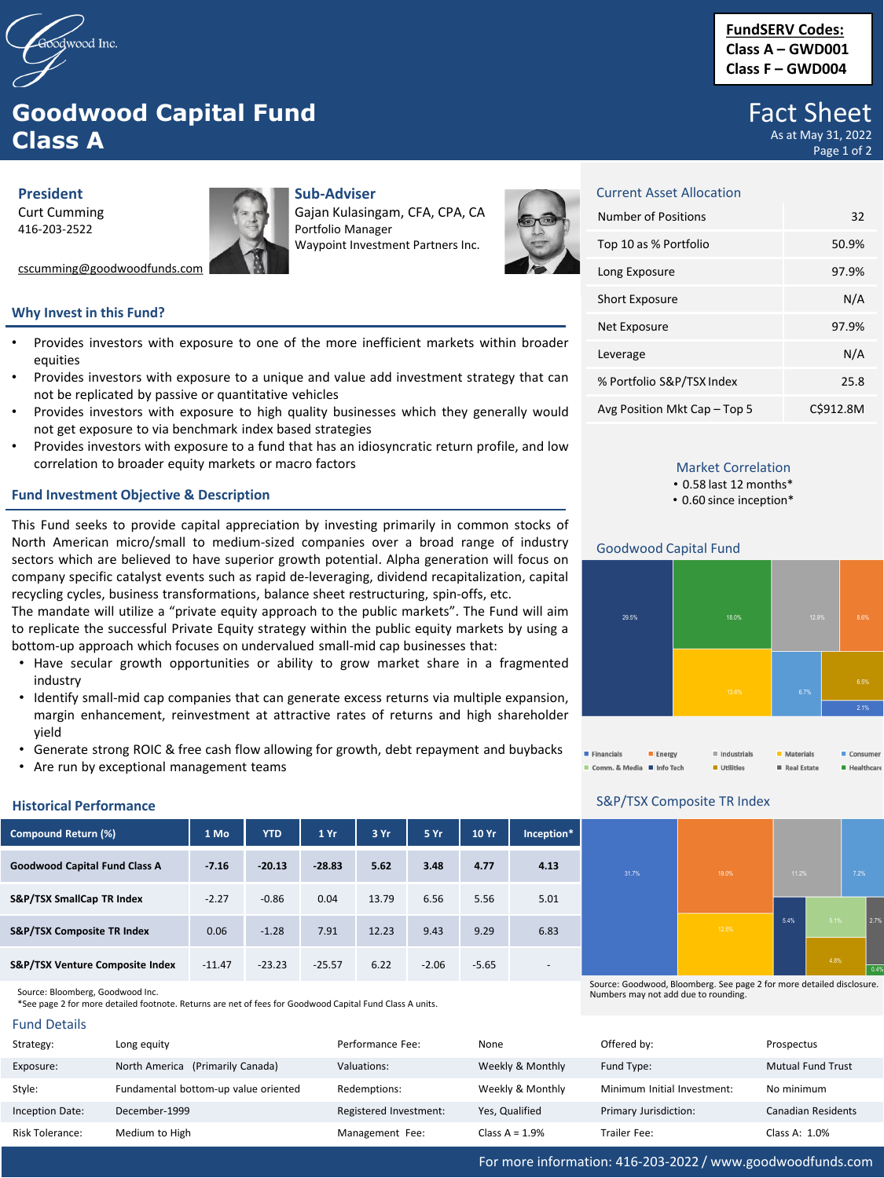

# **Goodwood Capital Fund Class A**

**President** Curt Cumming 416-203-2522

cscumming@goodwoodfunds.com

## **Sub-Adviser**

Gajan Kulasingam, CFA, CPA, CA Portfolio Manager Waypoint Investment Partners Inc.



# **Why Invest in this Fund?**

- Provides investors with exposure to one of the more inefficient markets within broader equities
- Provides investors with exposure to a unique and value add investment strategy that can not be replicated by passive or quantitative vehicles
- Provides investors with exposure to high quality businesses which they generally would not get exposure to via benchmark index based strategies
- Provides investors with exposure to a fund that has an idiosyncratic return profile, and low correlation to broader equity markets or macro factors

## **Fund Investment Objective & Description**

This Fund seeks to provide capital appreciation by investing primarily in common stocks of North American micro/small to medium-sized companies over a broad range of industry sectors which are believed to have superior growth potential. Alpha generation will focus on company specific catalyst events such as rapid de-leveraging, dividend recapitalization, capital recycling cycles, business transformations, balance sheet restructuring, spin-offs, etc.

The mandate will utilize a "private equity approach to the public markets". The Fund will aim to replicate the successful Private Equity strategy within the public equity markets by using a bottom-up approach which focuses on undervalued small-mid cap businesses that:

- Have secular growth opportunities or ability to grow market share in a fragmented industry
- Identify small-mid cap companies that can generate excess returns via multiple expansion, margin enhancement, reinvestment at attractive rates of returns and high shareholder yield
- Generate strong ROIC & free cash flow allowing for growth, debt repayment and buybacks
- Are run by exceptional management teams

| Compound Return (%)                  | 1 Mo     | <b>YTD</b> | 1Yr      | 3 Yr  | 5 Yr    | 10 Yr   | Inception*               |
|--------------------------------------|----------|------------|----------|-------|---------|---------|--------------------------|
| <b>Goodwood Capital Fund Class A</b> | $-7.16$  | $-20.13$   | $-28.83$ | 5.62  | 3.48    | 4.77    | 4.13                     |
| S&P/TSX SmallCap TR Index            | $-2.27$  | $-0.86$    | 0.04     | 13.79 | 6.56    | 5.56    | 5.01                     |
| S&P/TSX Composite TR Index           | 0.06     | $-1.28$    | 7.91     | 12.23 | 9.43    | 9.29    | 6.83                     |
| S&P/TSX Venture Composite Index      | $-11.47$ | $-23.23$   | $-25.57$ | 6.22  | $-2.06$ | $-5.65$ | $\overline{\phantom{a}}$ |

**Historical Performance**

\*See page 2 for more detailed footnote. Returns are net of fees for Goodwood Capital Fund Class A units.

| <b>Fund Details</b> |  |
|---------------------|--|
|---------------------|--|

| Strategy:              | Long equity                          | Performance Fee:       | None             | Offered by:                 | Prospectus                |
|------------------------|--------------------------------------|------------------------|------------------|-----------------------------|---------------------------|
| Exposure:              | North America (Primarily Canada)     | Valuations:            | Weekly & Monthly | Fund Type:                  | <b>Mutual Fund Trust</b>  |
| Style:                 | Fundamental bottom-up value oriented | Redemptions:           | Weekly & Monthly | Minimum Initial Investment: | No minimum                |
| <b>Inception Date:</b> | December-1999                        | Registered Investment: | Yes, Qualified   | Primary Jurisdiction:       | <b>Canadian Residents</b> |
| Risk Tolerance:        | Medium to High                       | Management Fee:        | Class $A = 1.9%$ | Trailer Fee:                | Class A: 1.0%             |

# **FundSERV Codes: Class A – GWD001 Class F – GWD004**

# Fact Sheet As at May 31, 2022

Page 1 of 2

| <b>Current Asset Allocation</b> |           |
|---------------------------------|-----------|
| Number of Positions             | 32        |
| Top 10 as % Portfolio           | 50.9%     |
| Long Exposure                   | 97.9%     |
| <b>Short Exposure</b>           | N/A       |
| Net Exposure                    | 97.9%     |
| Leverage                        | N/A       |
| % Portfolio S&P/TSX Index       | 25.8      |
| Avg Position Mkt Cap - Top 5    | C\$912.8M |

# Market Correlation

• 0.58 last 12 months\*

• 0.60 since inception\*

### Goodwood Capital Fund





## S&P/TSX Composite TR Index